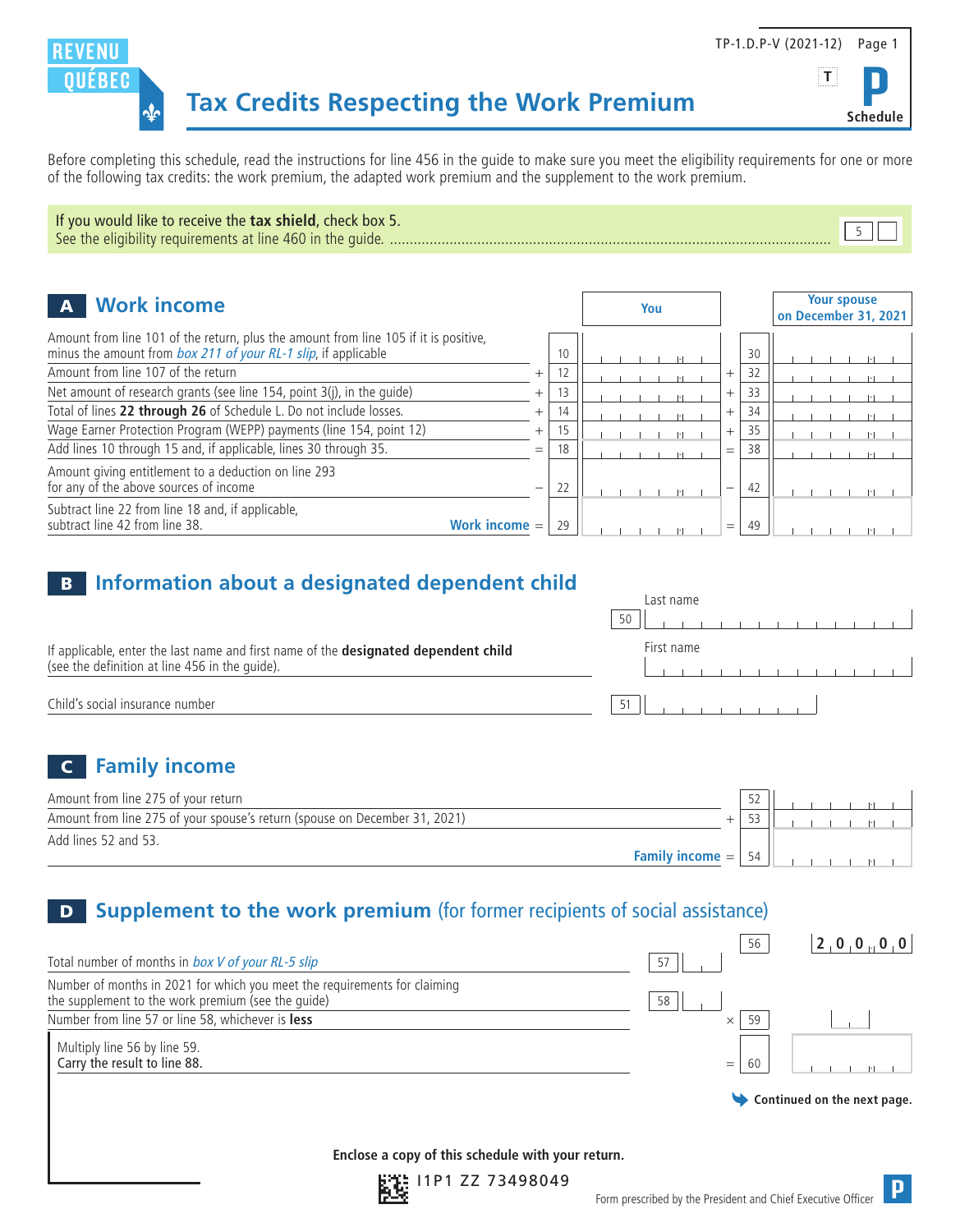

Before completing this schedule, read the instructions for line 456 in the guide to make sure you meet the eligibility requirements for one or more of the following tax credits: the work premium, the adapted work premium and the supplement to the work premium.

| If you would like to receive the tax shield, check box 5. |  |
|-----------------------------------------------------------|--|
|                                                           |  |

| <b>Work income</b><br>$\mathbf{A}$<br>You                                                                                                              |                          |    |  |  | <b>Your spouse</b><br>on December 31, 2021 |        |    |  |  |  |  |  |
|--------------------------------------------------------------------------------------------------------------------------------------------------------|--------------------------|----|--|--|--------------------------------------------|--------|----|--|--|--|--|--|
| Amount from line 101 of the return, plus the amount from line 105 if it is positive,<br>minus the amount from box 211 of your RL-1 slip, if applicable |                          | 10 |  |  |                                            |        | 30 |  |  |  |  |  |
| Amount from line 107 of the return                                                                                                                     | $\pm$                    |    |  |  |                                            | $^{+}$ | 32 |  |  |  |  |  |
| Net amount of research grants (see line 154, point 3(j), in the quide)                                                                                 | $^{+}$                   |    |  |  |                                            | $^{+}$ | 33 |  |  |  |  |  |
| Total of lines 22 through 26 of Schedule L. Do not include losses.                                                                                     | $^{+}$                   | 14 |  |  |                                            | $^{+}$ | 34 |  |  |  |  |  |
| Wage Earner Protection Program (WEPP) payments (line 154, point 12)                                                                                    | $^{+}$                   |    |  |  |                                            | $^{+}$ | 35 |  |  |  |  |  |
| Add lines 10 through 15 and, if applicable, lines 30 through 35.                                                                                       | $=$                      | 18 |  |  |                                            | $=$    | 38 |  |  |  |  |  |
| Amount giving entitlement to a deduction on line 293<br>for any of the above sources of income                                                         | $\overline{\phantom{0}}$ | 22 |  |  |                                            |        | 42 |  |  |  |  |  |
| Subtract line 22 from line 18 and, if applicable,<br>subtract line 42 from line 38.<br>Work income $=$                                                 |                          | 29 |  |  |                                            | $=$    | 49 |  |  |  |  |  |

#### **B** Information about a designated dependent child

|                                                                                                                                       | Last name<br>50                     |
|---------------------------------------------------------------------------------------------------------------------------------------|-------------------------------------|
| If applicable, enter the last name and first name of the designated dependent child<br>(see the definition at line 456 in the quide). | First name                          |
| Child's social insurance number                                                                                                       | the contract of the contract of the |

# C **Family income**

| Amount from line 275 of your return                                        |                                       | $\overline{52}$ |  |
|----------------------------------------------------------------------------|---------------------------------------|-----------------|--|
| Amount from line 275 of your spouse's return (spouse on December 31, 2021) |                                       |                 |  |
| Add lines 52 and 53.                                                       |                                       |                 |  |
|                                                                            | <b>Family income <math>=</math>  </b> | 54              |  |

# **D Supplement to the work premium** (for former recipients of social assistance)

| Total number of months in box V of your RL-5 slip                                                                               | 57 | 56             |                             |
|---------------------------------------------------------------------------------------------------------------------------------|----|----------------|-----------------------------|
| Number of months in 2021 for which you meet the requirements for claiming<br>the supplement to the work premium (see the quide) | 58 |                |                             |
| Number from line 57 or line 58, whichever is less                                                                               |    | 59<br>$\times$ |                             |
| Multiply line 56 by line 59.<br>Carry the result to line 88.                                                                    |    | 60<br>$=$      |                             |
|                                                                                                                                 |    |                | Continued on the next page. |
|                                                                                                                                 |    |                |                             |

**Enclose a copy of this schedule with your return.**